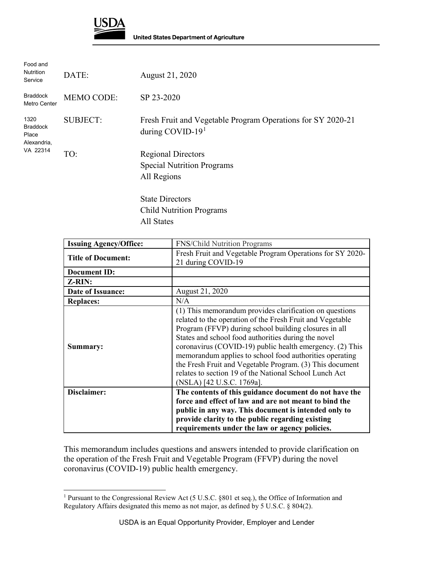

 $\ddot{\phantom{a}}$ 

| DATE:             | August 21, 2020                                                                                         |
|-------------------|---------------------------------------------------------------------------------------------------------|
| <b>MEMO CODE:</b> | SP 23-2020                                                                                              |
| <b>SUBJECT:</b>   | Fresh Fruit and Vegetable Program Operations for SY 2020-21<br>during COVID-19 $1$                      |
| VA 22314<br>TO:   | <b>Regional Directors</b><br><b>Special Nutrition Programs</b><br>All Regions<br><b>State Directors</b> |
|                   | <b>Child Nutrition Programs</b>                                                                         |
|                   |                                                                                                         |

All States

| <b>Issuing Agency/Office:</b> | <b>FNS/Child Nutrition Programs</b>                                                                                                                                                                                                                                                                                                                                                                                                                                                                            |
|-------------------------------|----------------------------------------------------------------------------------------------------------------------------------------------------------------------------------------------------------------------------------------------------------------------------------------------------------------------------------------------------------------------------------------------------------------------------------------------------------------------------------------------------------------|
| <b>Title of Document:</b>     | Fresh Fruit and Vegetable Program Operations for SY 2020-<br>21 during COVID-19                                                                                                                                                                                                                                                                                                                                                                                                                                |
| <b>Document ID:</b>           |                                                                                                                                                                                                                                                                                                                                                                                                                                                                                                                |
| Z-RIN:                        |                                                                                                                                                                                                                                                                                                                                                                                                                                                                                                                |
| Date of Issuance:             | August 21, 2020                                                                                                                                                                                                                                                                                                                                                                                                                                                                                                |
| <b>Replaces:</b>              | N/A                                                                                                                                                                                                                                                                                                                                                                                                                                                                                                            |
| Summary:                      | (1) This memorandum provides clarification on questions<br>related to the operation of the Fresh Fruit and Vegetable<br>Program (FFVP) during school building closures in all<br>States and school food authorities during the novel<br>coronavirus (COVID-19) public health emergency. (2) This<br>memorandum applies to school food authorities operating<br>the Fresh Fruit and Vegetable Program. (3) This document<br>relates to section 19 of the National School Lunch Act<br>(NSLA) [42 U.S.C. 1769a]. |
| Disclaimer:                   | The contents of this guidance document do not have the                                                                                                                                                                                                                                                                                                                                                                                                                                                         |
|                               | force and effect of law and are not meant to bind the                                                                                                                                                                                                                                                                                                                                                                                                                                                          |
|                               | public in any way. This document is intended only to                                                                                                                                                                                                                                                                                                                                                                                                                                                           |
|                               | provide clarity to the public regarding existing                                                                                                                                                                                                                                                                                                                                                                                                                                                               |
|                               | requirements under the law or agency policies.                                                                                                                                                                                                                                                                                                                                                                                                                                                                 |

This memorandum includes questions and answers intended to provide clarification on the operation of the Fresh Fruit and Vegetable Program (FFVP) during the novel coronavirus (COVID-19) public health emergency.

<span id="page-0-0"></span><sup>1</sup> Pursuant to the Congressional Review Act (5 U.S.C. §801 et seq.), the Office of Information and Regulatory Affairs designated this memo as not major, as defined by 5 U.S.C. § 804(2).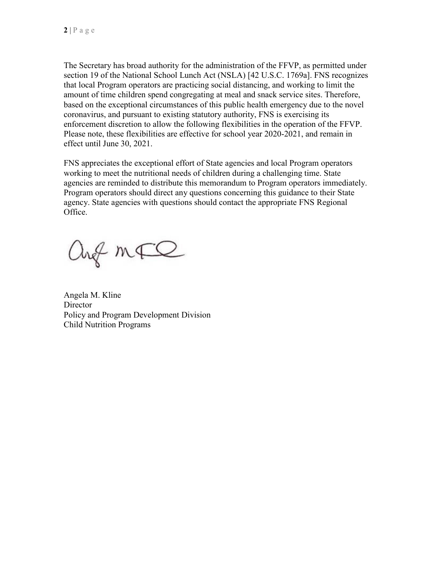The Secretary has broad authority for the administration of the FFVP, as permitted under section 19 of the National School Lunch Act (NSLA) [42 U.S.C. 1769a]. FNS recognizes that local Program operators are practicing social distancing, and working to limit the amount of time children spend congregating at meal and snack service sites. Therefore, based on the exceptional circumstances of this public health emergency due to the novel coronavirus, and pursuant to existing statutory authority, FNS is exercising its enforcement discretion to allow the following flexibilities in the operation of the FFVP. Please note, these flexibilities are effective for school year 2020-2021, and remain in effect until June 30, 2021.

FNS appreciates the exceptional effort of State agencies and local Program operators working to meet the nutritional needs of children during a challenging time. State agencies are reminded to distribute this memorandum to Program operators immediately. Program operators should direct any questions concerning this guidance to their State agency. State agencies with questions should contact the appropriate FNS Regional Office.

ang mFQ

Angela M. Kline **Director** Policy and Program Development Division Child Nutrition Programs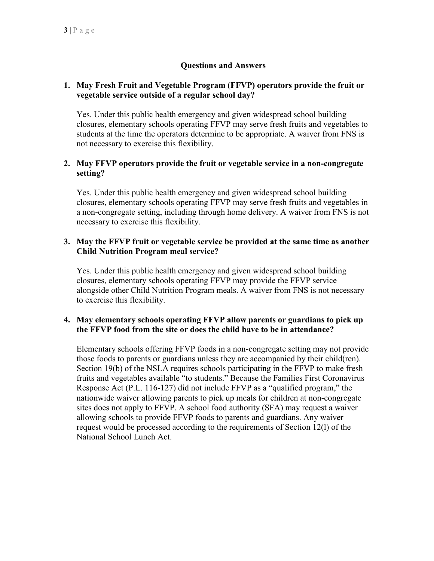# **Questions and Answers**

### **1. May Fresh Fruit and Vegetable Program (FFVP) operators provide the fruit or vegetable service outside of a regular school day?**

Yes. Under this public health emergency and given widespread school building closures, elementary schools operating FFVP may serve fresh fruits and vegetables to students at the time the operators determine to be appropriate. A waiver from FNS is not necessary to exercise this flexibility.

## **2. May FFVP operators provide the fruit or vegetable service in a non-congregate setting?**

Yes. Under this public health emergency and given widespread school building closures, elementary schools operating FFVP may serve fresh fruits and vegetables in a non-congregate setting, including through home delivery. A waiver from FNS is not necessary to exercise this flexibility.

## **3. May the FFVP fruit or vegetable service be provided at the same time as another Child Nutrition Program meal service?**

Yes. Under this public health emergency and given widespread school building closures, elementary schools operating FFVP may provide the FFVP service alongside other Child Nutrition Program meals. A waiver from FNS is not necessary to exercise this flexibility.

### **4. May elementary schools operating FFVP allow parents or guardians to pick up the FFVP food from the site or does the child have to be in attendance?**

Elementary schools offering FFVP foods in a non-congregate setting may not provide those foods to parents or guardians unless they are accompanied by their child(ren). Section 19(b) of the NSLA requires schools participating in the FFVP to make fresh fruits and vegetables available "to students." Because the Families First Coronavirus Response Act (P.L. 116-127) did not include FFVP as a "qualified program," the nationwide waiver allowing parents to pick up meals for children at non-congregate sites does not apply to FFVP. A school food authority (SFA) may request a waiver allowing schools to provide FFVP foods to parents and guardians. Any waiver request would be processed according to the requirements of Section 12(l) of the National School Lunch Act.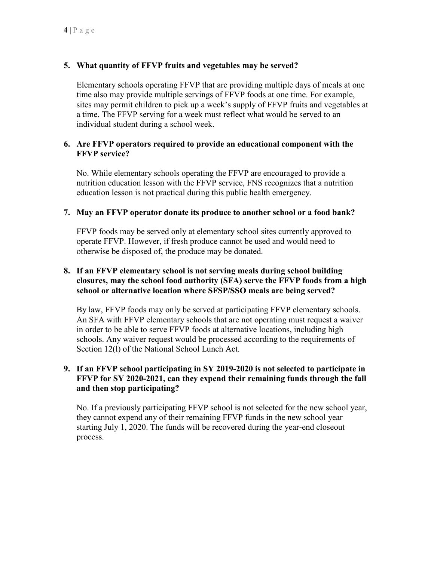# **5. What quantity of FFVP fruits and vegetables may be served?**

Elementary schools operating FFVP that are providing multiple days of meals at one time also may provide multiple servings of FFVP foods at one time. For example, sites may permit children to pick up a week's supply of FFVP fruits and vegetables at a time. The FFVP serving for a week must reflect what would be served to an individual student during a school week.

### **6. Are FFVP operators required to provide an educational component with the FFVP service?**

No. While elementary schools operating the FFVP are encouraged to provide a nutrition education lesson with the FFVP service, FNS recognizes that a nutrition education lesson is not practical during this public health emergency.

### **7. May an FFVP operator donate its produce to another school or a food bank?**

FFVP foods may be served only at elementary school sites currently approved to operate FFVP. However, if fresh produce cannot be used and would need to otherwise be disposed of, the produce may be donated.

## **8. If an FFVP elementary school is not serving meals during school building closures, may the school food authority (SFA) serve the FFVP foods from a high school or alternative location where SFSP/SSO meals are being served?**

By law, FFVP foods may only be served at participating FFVP elementary schools. An SFA with FFVP elementary schools that are not operating must request a waiver in order to be able to serve FFVP foods at alternative locations, including high schools. Any waiver request would be processed according to the requirements of Section 12(l) of the National School Lunch Act.

## **9. If an FFVP school participating in SY 2019-2020 is not selected to participate in FFVP for SY 2020-2021, can they expend their remaining funds through the fall and then stop participating?**

No. If a previously participating FFVP school is not selected for the new school year, they cannot expend any of their remaining FFVP funds in the new school year starting July 1, 2020. The funds will be recovered during the year-end closeout process.